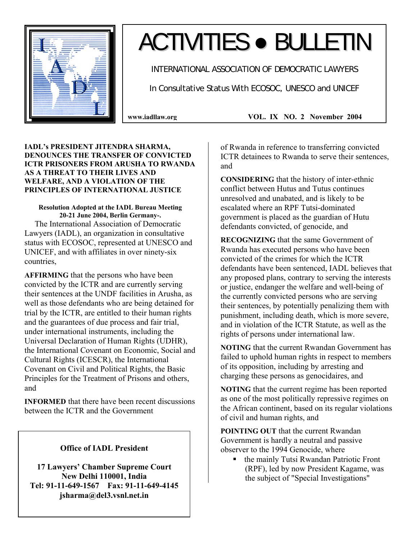

# ACTIVITIES ● BULLETIN

INTERNATIONAL ASSOCIATION OF DEMOCRATIC LAWYERS

In Consultative Status With ECOSOC, UNESCO and UNICEF

**IADL's PRESIDENT JITENDRA SHARMA, DENOUNCES THE TRANSFER OF CONVICTED ICTR PRISONERS FROM ARUSHA TO RWANDA AS A THREAT TO THEIR LIVES AND WELFARE, AND A VIOLATION OF THE PRINCIPLES OF INTERNATIONAL JUSTICE** 

**Resolution Adopted at the IADL Bureau Meeting 20-21 June 2004, Berlin Germany-.**  The International Association of Democratic Lawyers (IADL), an organization in consultative status with ECOSOC, represented at UNESCO and UNICEF, and with affiliates in over ninety-six countries,

**AFFIRMING** that the persons who have been convicted by the ICTR and are currently serving their sentences at the UNDF facilities in Arusha, as well as those defendants who are being detained for trial by the ICTR, are entitled to their human rights and the guarantees of due process and fair trial, under international instruments, including the Universal Declaration of Human Rights (UDHR), the International Covenant on Economic, Social and Cultural Rights (ICESCR), the International Covenant on Civil and Political Rights, the Basic Principles for the Treatment of Prisons and others, and

**INFORMED** that there have been recent discussions between the ICTR and the Government

# **Office of IADL President**

**17 Lawyers' Chamber Supreme Court New Delhi 110001, India Tel: 91-11-649-1567 Fax: 91-11-649-4145 jsharma@del3.vsnl.net.in** 

**www.iadllaw.org VOL. IX NO. 2 November 2004**

of Rwanda in reference to transferring convicted ICTR detainees to Rwanda to serve their sentences, and

**CONSIDERING** that the history of inter-ethnic conflict between Hutus and Tutus continues unresolved and unabated, and is likely to be escalated where an RPF Tutsi-dominated government is placed as the guardian of Hutu defendants convicted, of genocide, and

**RECOGNIZING** that the same Government of Rwanda has executed persons who have been convicted of the crimes for which the ICTR defendants have been sentenced, IADL believes that any proposed plans, contrary to serving the interests or justice, endanger the welfare and well-being of the currently convicted persons who are serving their sentences, by potentially penalizing them with punishment, including death, which is more severe, and in violation of the ICTR Statute, as well as the rights of persons under international law.

**NOTING** that the current Rwandan Government has failed to uphold human rights in respect to members of its opposition, including by arresting and charging these persons as genocidaires, and

**NOTING** that the current regime has been reported as one of the most politically repressive regimes on the African continent, based on its regular violations of civil and human rights, and

**POINTING OUT** that the current Rwandan Government is hardly a neutral and passive observer to the 1994 Genocide, where

 the mainly Tutsi Rwandan Patriotic Front (RPF), led by now President Kagame, was the subject of "Special Investigations"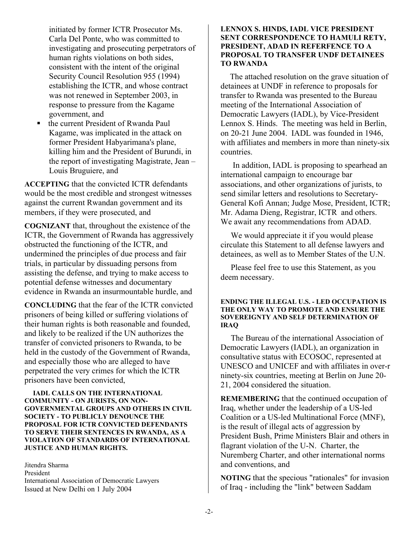initiated by former ICTR Prosecutor Ms. Carla Del Ponte, who was committed to investigating and prosecuting perpetrators of human rights violations on both sides, consistent with the intent of the original Security Council Resolution 955 (1994) establishing the ICTR, and whose contract was not renewed in September 2003, in response to pressure from the Kagame government, and

 the current President of Rwanda Paul Kagame, was implicated in the attack on former President Habyarimana's plane, killing him and the President of Burundi, in the report of investigating Magistrate, Jean – Louis Bruguiere, and

**ACCEPTING** that the convicted ICTR defendants would be the most credible and strongest witnesses against the current Rwandan government and its members, if they were prosecuted, and

**COGNIZANT** that, throughout the existence of the ICTR, the Government of Rwanda has aggressively obstructed the functioning of the ICTR, and undermined the principles of due process and fair trials, in particular by dissuading persons from assisting the defense, and trying to make access to potential defense witnesses and documentary evidence in Rwanda an insurmountable hurdle, and

**CONCLUDING** that the fear of the ICTR convicted prisoners of being killed or suffering violations of their human rights is both reasonable and founded, and likely to be realized if the UN authorizes the transfer of convicted prisoners to Rwanda, to be held in the custody of the Government of Rwanda, and especially those who are alleged to have perpetrated the very crimes for which the ICTR prisoners have been convicted,

 **IADL CALLS ON THE INTERNATIONAL COMMUNITY - ON JURISTS, ON NON-GOVERNMENTAL GROUPS AND OTHERS IN CIVIL SOCIETY - TO PUBLICLY DENOUNCE THE PROPOSAL FOR ICTR CONVICTED DEFENDANTS TO SERVE THEIR SENTENCES IN RWANDA, AS A VIOLATION OF STANDARDS OF INTERNATIONAL JUSTICE AND HUMAN RIGHTS.** 

Jitendra Sharma President International Association of Democratic Lawyers Issued at New Delhi on 1 July 2004

### **LENNOX S. HINDS, IADL VICE PRESIDENT SENT CORRESPONDENCE TO HAMULI RETY, PRESIDENT, ADAD IN REFERFENCE TO A PROPOSAL TO TRANSFER UNDF DETAINEES TO RWANDA**

The attached resolution on the grave situation of detainees at UNDF in reference to proposals for transfer to Rwanda was presented to the Bureau meeting of the International Association of Democratic Lawyers (IADL), by Vice-President Lennox S. Hinds. The meeting was held in Berlin, on 20-21 June 2004. IADL was founded in 1946, with affiliates and members in more than ninety-six countries.

 In addition, IADL is proposing to spearhead an international campaign to encourage bar associations, and other organizations of jurists, to send similar letters and resolutions to Secretary-General Kofi Annan; Judge Mose, President, ICTR; Mr. Adama Dieng, Registrar, ICTR and others. We await any recommendations from ADAD.

 We would appreciate it if you would please circulate this Statement to all defense lawyers and detainees, as well as to Member States of the U.N.

 Please feel free to use this Statement, as you deem necessary.

#### **ENDING THE ILLEGAL U.S. - LED OCCUPATION IS THE ONLY WAY TO PROMOTE AND ENSURE THE SOVEREIGNTY AND SELF DETERMINATION OF IRAQ**

 The Bureau of the international Association of Democratic Lawyers (IADL), an organization in consultative status with ECOSOC, represented at UNESCO and UNICEF and with affiliates in over-r ninety-six countries, meeting at Berlin on June 20- 21, 2004 considered the situation.

**REMEMBERING** that the continued occupation of Iraq, whether under the leadership of a US-led Coalition or a US-led Multinational Force (MNF), is the result of illegal acts of aggression by President Bush, Prime Ministers Blair and others in flagrant violation of the U-N. Charter, the Nuremberg Charter, and other international norms and conventions, and

**NOTING** that the specious "rationales" for invasion of Iraq - including the "link" between Saddam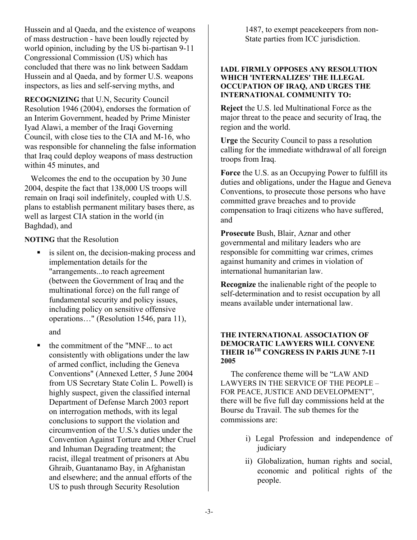Hussein and al Qaeda, and the existence of weapons of mass destruction - have been loudly rejected by world opinion, including by the US bi-partisan 9-11 Congressional Commission (US) which has concluded that there was no link between Saddam Hussein and al Qaeda, and by former U.S. weapons inspectors, as lies and self-serving myths, and

**RECOGNIZING** that U.N, Security Council Resolution 1946 (2004), endorses the formation of an Interim Government, headed by Prime Minister Iyad Alawi, a member of the Iraqi Governing Council, with close ties to the CIA and M-16, who was responsible for channeling the false information that Iraq could deploy weapons of mass destruction within 45 minutes, and

Welcomes the end to the occupation by 30 June 2004, despite the fact that 138,000 US troops will remain on Iraqi soil indefinitely, coupled with U.S. plans to establish permanent military bases there, as well as largest CIA station in the world (in Baghdad), and

**NOTING** that the Resolution

- is silent on, the decision-making process and implementation details for the "arrangements...to reach agreement (between the Government of Iraq and the multinational force) on the full range of fundamental security and policy issues, including policy on sensitive offensive operations…" (Resolution 1546, para 11), and
- the commitment of the "MNF... to act consistently with obligations under the law of armed conflict, including the Geneva Conventions" (Annexed Letter, 5 June 2004 from US Secretary State Colin L. Powell) is highly suspect, given the classified internal Department of Defense March 2003 report on interrogation methods, with its legal conclusions to support the violation and circumvention of the U.S.'s duties under the Convention Against Torture and Other Cruel and Inhuman Degrading treatment; the racist, illegal treatment of prisoners at Abu Ghraib, Guantanamo Bay, in Afghanistan and elsewhere; and the annual efforts of the US to push through Security Resolution

1487, to exempt peacekeepers from non-State parties from ICC jurisdiction.

# **IADL FIRMLY OPPOSES ANY RESOLUTION WHICH 'INTERNALIZES' THE ILLEGAL OCCUPATION OF IRAQ, AND URGES THE INTERNATIONAL COMMUNITY TO:**

**Reject** the U.S. led Multinational Force as the major threat to the peace and security of Iraq, the region and the world.

**Urge** the Security Council to pass a resolution calling for the immediate withdrawal of all foreign troops from Iraq.

**Force** the U.S. as an Occupying Power to fulfill its duties and obligations, under the Hague and Geneva Conventions, to prosecute those persons who have committed grave breaches and to provide compensation to Iraqi citizens who have suffered, and

**Prosecute** Bush, Blair, Aznar and other governmental and military leaders who are responsible for committing war crimes, crimes against humanity and crimes in violation of international humanitarian law.

**Recognize** the inalienable right of the people to self-determination and to resist occupation by all means available under international law.

# **THE INTERNATIONAL ASSOCIATION OF DEMOCRATIC LAWYERS WILL CONVENE THEIR 16TH CONGRESS IN PARIS JUNE 7-11 2005**

 The conference theme will be "LAW AND LAWYERS IN THE SERVICE OF THE PEOPLE – FOR PEACE, JUSTICE AND DEVELOPMENT", there will be five full day commissions held at the Bourse du Travail. The sub themes for the commissions are:

- i) Legal Profession and independence of judiciary
- ii) Globalization, human rights and social, economic and political rights of the people.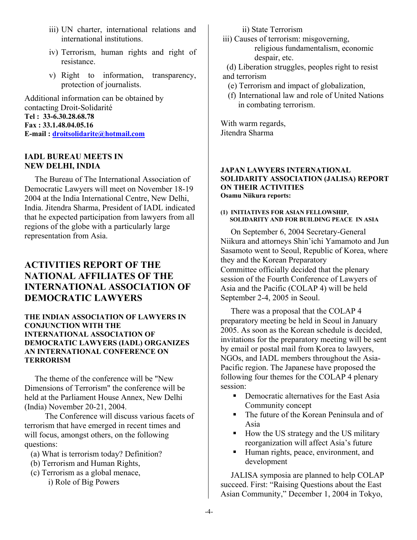- iii) UN charter, international relations and international institutions.
- iv) Terrorism, human rights and right of resistance.
- v) Right to information, transparency, protection of journalists.

Additional information can be obtained by contacting Droit-Solidarité **Tel : 33-6.30.28.68.78 Fax : 33.1.48.04.05.16 E-mail : droitsolidarite@hotmail.com**

## **IADL BUREAU MEETS IN NEW DELHI, INDIA**

 The Bureau of The International Association of Democratic Lawyers will meet on November 18-19 2004 at the India International Centre, New Delhi, India. Jitendra Sharma, President of IADL indicated that he expected participation from lawyers from all regions of the globe with a particularly large representation from Asia.

# **ACTIVITIES REPORT OF THE NATIONAL AFFILIATES OF THE INTERNATIONAL ASSOCIATION OF DEMOCRATIC LAWYERS**

# **THE INDIAN ASSOCIATION OF LAWYERS IN CONJUNCTION WITH THE INTERNATIONAL ASSOCIATION OF DEMOCRATIC LAWYERS (IADL) ORGANIZES AN INTERNATIONAL CONFERENCE ON TERRORISM**

 The theme of the conference will be "New Dimensions of Terrorism" the conference will be held at the Parliament House Annex, New Delhi (India) November 20-21, 2004.

 The Conference will discuss various facets of terrorism that have emerged in recent times and will focus, amongst others, on the following questions:

- (a) What is terrorism today? Definition?
- (b) Terrorism and Human Rights,
- (c) Terrorism as a global menace, i) Role of Big Powers

ii) State Terrorism

- iii) Causes of terrorism: misgoverning, religious fundamentalism, economic despair, etc.
- (d) Liberation struggles, peoples right to resist
- and terrorism
	- (e) Terrorism and impact of globalization,
	- (f) International law and role of United Nations in combating terrorism.

With warm regards, Jitendra Sharma

#### **JAPAN LAWYERS INTERNATIONAL SOLIDARITY ASSOCIATION (JALISA) REPORT ON THEIR ACTIVITIES Osamu Niikura reports:**

#### **(1) INITIATIVES FOR ASIAN FELLOWSHIP, SOLIDARITY AND FOR BUILDING PEACE IN ASIA**

 On September 6, 2004 Secretary-General Niikura and attorneys Shin'ichi Yamamoto and Jun Sasamoto went to Seoul, Republic of Korea, where they and the Korean Preparatory Committee officially decided that the plenary session of the Fourth Conference of Lawyers of Asia and the Pacific (COLAP 4) will be held September 2-4, 2005 in Seoul.

 There was a proposal that the COLAP 4 preparatory meeting be held in Seoul in January 2005. As soon as the Korean schedule is decided, invitations for the preparatory meeting will be sent by email or postal mail from Korea to lawyers, NGOs, and IADL members throughout the Asia-Pacific region. The Japanese have proposed the following four themes for the COLAP 4 plenary session:

- **•** Democratic alternatives for the East Asia Community concept
- The future of the Korean Peninsula and of Asia
- How the US strategy and the US military reorganization will affect Asia's future
- Human rights, peace, environment, and development

 JALISA symposia are planned to help COLAP succeed. First: "Raising Questions about the East Asian Community," December 1, 2004 in Tokyo,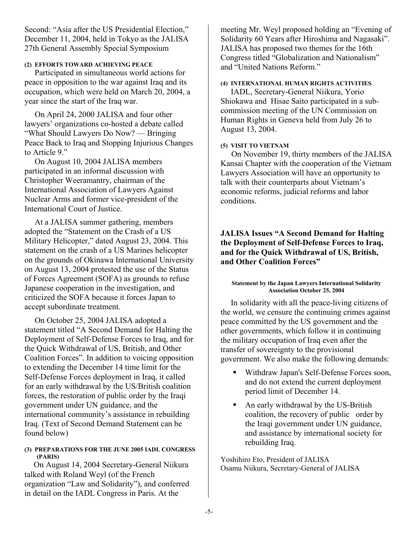Second: "Asia after the US Presidential Election," December 11, 2004, held in Tokyo as the JALISA 27th General Assembly Special Symposium

# **(2) EFFORTS TOWARD ACHIEVING PEACE**

 Participated in simultaneous world actions for peace in opposition to the war against Iraq and its occupation, which were held on March 20, 2004, a year since the start of the Iraq war.

 On April 24, 2000 JALISA and four other lawyers' organizations co-hosted a debate called "What Should Lawyers Do Now? — Bringing Peace Back to Iraq and Stopping Injurious Changes to Article 9."

 On August 10, 2004 JALISA members participated in an informal discussion with Christopher Weeramantry, chairman of the International Association of Lawyers Against Nuclear Arms and former vice-president of the International Court of Justice.

 At a JALISA summer gathering, members adopted the "Statement on the Crash of a US Military Helicopter," dated August 23, 2004. This statement on the crash of a US Marines helicopter on the grounds of Okinawa International University on August 13, 2004 protested the use of the Status of Forces Agreement (SOFA) as grounds to refuse Japanese cooperation in the investigation, and criticized the SOFA because it forces Japan to accept subordinate treatment.

 On October 25, 2004 JALISA adopted a statement titled "A Second Demand for Halting the Deployment of Self-Defense Forces to Iraq, and for the Quick Withdrawal of US, British, and Other Coalition Forces". In addition to voicing opposition to extending the December 14 time limit for the Self-Defense Forces deployment in Iraq, it called for an early withdrawal by the US/British coalition forces, the restoration of public order by the Iraqi government under UN guidance, and the international community's assistance in rebuilding Iraq. (Text of Second Demand Statement can be found below)

#### **(3) PREPARATIONS FOR THE JUNE 2005 IADL CONGRESS (PARIS)**

On August 14, 2004 Secretary-General Niikura talked with Roland Weyl (of the French organization "Law and Solidarity"), and conferred in detail on the IADL Congress in Paris. At the

meeting Mr. Weyl proposed holding an "Evening of Solidarity 60 Years after Hiroshima and Nagasaki". JALISA has proposed two themes for the 16th Congress titled "Globalization and Nationalism" and "United Nations Reform."

# **(4) INTERNATIONAL HUMAN RIGHTS ACTIVITIES**

 IADL, Secretary-General Niikura, Yorio Shiokawa and Hisae Saito participated in a subcommission meeting of the UN Commission on Human Rights in Geneva held from July 26 to August 13, 2004.

## **(5) VISIT TO VIETNAM**

On November 19, thirty members of the JALISA Kansai Chapter with the cooperation of the Vietnam Lawyers Association will have an opportunity to talk with their counterparts about Vietnam's economic reforms, judicial reforms and labor conditions.

# **JALISA Issues "A Second Demand for Halting the Deployment of Self-Defense Forces to Iraq, and for the Quick Withdrawal of US, British, and Other Coalition Forces"**

#### **Statement by the Japan Lawyers International Solidarity Association October 25, 2004**

 In solidarity with all the peace-living citizens of the world, we censure the continuing crimes against peace committed by the US government and the other governments, which follow it in continuing the military occupation of Iraq even after the transfer of sovereignty to the provisional government. We also make the following demands:

- Withdraw Japan's Self-Defense Forces soon, and do not extend the current deployment period limit of December 14.
- An early withdrawal by the US-British coalition, the recovery of public order by the Iraqi government under UN guidance, and assistance by international society for rebuilding Iraq.

Yoshihiro Eto, President of JALISA Osamu Niikura, Secretary-General of JALISA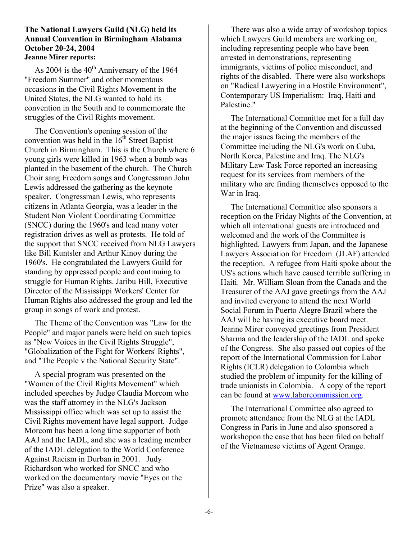# **The National Lawyers Guild (NLG) held its Annual Convention in Birmingham Alabama October 20-24, 2004 Jeanne Mirer reports:**

As 2004 is the 40<sup>th</sup> Anniversary of the 1964 "Freedom Summer" and other momentous occasions in the Civil Rights Movement in the United States, the NLG wanted to hold its convention in the South and to commemorate the struggles of the Civil Rights movement.

 The Convention's opening session of the convention was held in the  $16^{th}$  Street Baptist Church in Birmingham. This is the Church where 6 young girls were killed in 1963 when a bomb was planted in the basement of the church. The Church Choir sang Freedom songs and Congressman John Lewis addressed the gathering as the keynote speaker. Congressman Lewis, who represents citizens in Atlanta Georgia, was a leader in the Student Non Violent Coordinating Committee (SNCC) during the 1960's and lead many voter registration drives as well as protests. He told of the support that SNCC received from NLG Lawyers like Bill Kuntsler and Arthur Kinoy during the 1960's. He congratulated the Lawyers Guild for standing by oppressed people and continuing to struggle for Human Rights. Jaribu Hill, Executive Director of the Mississippi Workers' Center for Human Rights also addressed the group and led the group in songs of work and protest.

 The Theme of the Convention was "Law for the People" and major panels were held on such topics as "New Voices in the Civil Rights Struggle", "Globalization of the Fight for Workers' Rights", and "The People v the National Security State".

 A special program was presented on the "Women of the Civil Rights Movement" which included speeches by Judge Claudia Morcom who was the staff attorney in the NLG's Jackson Mississippi office which was set up to assist the Civil Rights movement have legal support. Judge Morcom has been a long time supporter of both AAJ and the IADL, and she was a leading member of the IADL delegation to the World Conference Against Racism in Durban in 2001. Judy Richardson who worked for SNCC and who worked on the documentary movie "Eyes on the Prize" was also a speaker.

 There was also a wide array of workshop topics which Lawyers Guild members are working on, including representing people who have been arrested in demonstrations, representing immigrants, victims of police misconduct, and rights of the disabled. There were also workshops on "Radical Lawyering in a Hostile Environment", Contemporary US Imperialism: Iraq, Haiti and Palestine."

 The International Committee met for a full day at the beginning of the Convention and discussed the major issues facing the members of the Committee including the NLG's work on Cuba, North Korea, Palestine and Iraq. The NLG's Military Law Task Force reported an increasing request for its services from members of the military who are finding themselves opposed to the War in Iraq.

 The International Committee also sponsors a reception on the Friday Nights of the Convention, at which all international guests are introduced and welcomed and the work of the Committee is highlighted. Lawyers from Japan, and the Japanese Lawyers Association for Freedom (JLAF) attended the reception. A refugee from Haiti spoke about the US's actions which have caused terrible suffering in Haiti. Mr. William Sloan from the Canada and the Treasurer of the AAJ gave greetings from the AAJ and invited everyone to attend the next World Social Forum in Puerto Alegre Brazil where the AAJ will be having its executive board meet. Jeanne Mirer conveyed greetings from President Sharma and the leadership of the IADL and spoke of the Congress. She also passed out copies of the report of the International Commission for Labor Rights (ICLR) delegation to Colombia which studied the problem of impunity for the killing of trade unionists in Colombia. A copy of the report can be found at www.laborcommission.org.

 The International Committee also agreed to promote attendance from the NLG at the IADL Congress in Paris in June and also sponsored a workshopon the case that has been filed on behalf of the Vietnamese victims of Agent Orange.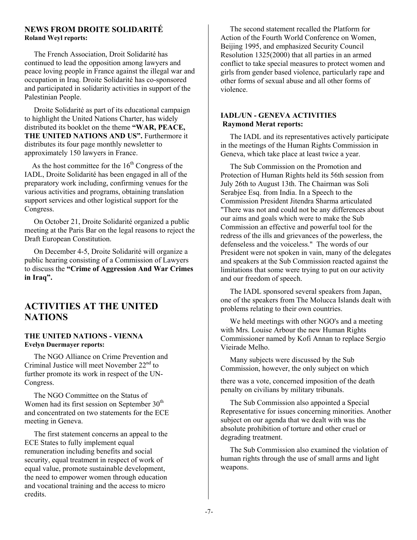#### **NEWS FROM DROITE SOLIDARITÉ Roland Weyl reports:**

 The French Association, Droit Solidarité has continued to lead the opposition among lawyers and peace loving people in France against the illegal war and occupation in Iraq. Droite Solidarité has co-sponsored and participated in solidarity activities in support of the Palestinian People.

 Droite Solidarité as part of its educational campaign to highlight the United Nations Charter, has widely distributed its booklet on the theme **"WAR, PEACE,**  THE UNITED NATIONS AND US". Furthermore it distributes its four page monthly newsletter to approximately 150 lawyers in France.

As the host committee for the  $16<sup>th</sup>$  Congress of the IADL, Droite Solidarité has been engaged in all of the preparatory work including, confirming venues for the various activities and programs, obtaining translation support services and other logistical support for the Congress.

 On October 21, Droite Solidarité organized a public meeting at the Paris Bar on the legal reasons to reject the Draft European Constitution.

 On December 4-5, Droite Solidarité will organize a public hearing consisting of a Commission of Lawyers to discuss the **"Crime of Aggression And War Crimes in Iraq".** 

# **ACTIVITIES AT THE UNITED NATIONS**

# **THE UNITED NATIONS - VIENNA Evelyn Duermayer reports:**

 The NGO Alliance on Crime Prevention and Criminal Justice will meet November  $22<sup>nd</sup>$  to further promote its work in respect of the UN-Congress.

 The NGO Committee on the Status of Women had its first session on September  $30<sup>th</sup>$ and concentrated on two statements for the ECE meeting in Geneva.

 The first statement concerns an appeal to the ECE States to fully implement equal remuneration including benefits and social security, equal treatment in respect of work of equal value, promote sustainable development, the need to empower women through education and vocational training and the access to micro credits.

 The second statement recalled the Platform for Action of the Fourth World Conference on Women, Beijing 1995, and emphasized Security Council Resolution 1325(2000) that all parties in an armed conflict to take special measures to protect women and girls from gender based violence, particularly rape and other forms of sexual abuse and all other forms of violence.

## **IADL/UN - GENEVA ACTIVITIES Raymond Merat reports:**

 The IADL and its representatives actively participate in the meetings of the Human Rights Commission in Geneva, which take place at least twice a year.

 The Sub Commission on the Promotion and Protection of Human Rights held its 56th session from July 26th to August 13th. The Chairman was Soli Serabjee Esq. from India. In a Speech to the Commission President Jitendra Sharma articulated "There was not and could not be any differences about our aims and goals which were to make the Sub Commission an effective and powerful tool for the redress of the ills and grievances of the powerless, the defenseless and the voiceless." The words of our President were not spoken in vain, many of the delegates and speakers at the Sub Commission reacted against the limitations that some were trying to put on our activity and our freedom of speech.

 The IADL sponsored several speakers from Japan, one of the speakers from The Molucca Islands dealt with problems relating to their own countries.

 We held meetings with other NGO's and a meeting with Mrs. Louise Arbour the new Human Rights Commissioner named by Kofi Annan to replace Sergio Vieirade Melho.

 Many subjects were discussed by the Sub Commission, however, the only subject on which

there was a vote, concerned imposition of the death penalty on civilians by military tribunals.

 The Sub Commission also appointed a Special Representative for issues concerning minorities. Another subject on our agenda that we dealt with was the absolute prohibition of torture and other cruel or degrading treatment.

 The Sub Commission also examined the violation of human rights through the use of small arms and light weapons.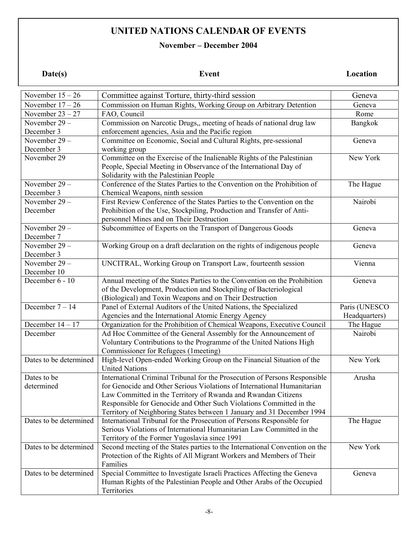# **UNITED NATIONS CALENDAR OF EVENTS**

# **November – December 2004**

**Date(s)** Event Location

| November $15-26$       | Committee against Torture, thirty-third session                             | Geneva        |
|------------------------|-----------------------------------------------------------------------------|---------------|
| November $17-26$       | Commission on Human Rights, Working Group on Arbitrary Detention            | Geneva        |
| November $23 - 27$     | FAO, Council                                                                | Rome          |
| November 29 -          | Commission on Narcotic Drugs,, meeting of heads of national drug law        | Bangkok       |
| December 3             | enforcement agencies, Asia and the Pacific region                           |               |
| November 29-           | Committee on Economic, Social and Cultural Rights, pre-sessional            | Geneva        |
| December 3             | working group                                                               |               |
| November 29            | Committee on the Exercise of the Inalienable Rights of the Palestinian      | New York      |
|                        | People, Special Meeting in Observance of the International Day of           |               |
|                        | Solidarity with the Palestinian People                                      |               |
| November $29 -$        | Conference of the States Parties to the Convention on the Prohibition of    | The Hague     |
| December 3             | Chemical Weapons, ninth session                                             |               |
| November 29-           | First Review Conference of the States Parties to the Convention on the      | Nairobi       |
| December               | Prohibition of the Use, Stockpiling, Production and Transfer of Anti-       |               |
|                        | personnel Mines and on Their Destruction                                    |               |
| November 29-           | Subcommittee of Experts on the Transport of Dangerous Goods                 | Geneva        |
| December 7             |                                                                             |               |
| November 29-           | Working Group on a draft declaration on the rights of indigenous people     | Geneva        |
| December 3             |                                                                             |               |
| November 29 -          | UNCITRAL, Working Group on Transport Law, fourteenth session                | Vienna        |
| December 10            |                                                                             |               |
| December 6 - 10        | Annual meeting of the States Parties to the Convention on the Prohibition   | Geneva        |
|                        | of the Development, Production and Stockpiling of Bacteriological           |               |
|                        | (Biological) and Toxin Weapons and on Their Destruction                     |               |
| December $7 - 14$      | Panel of External Auditors of the United Nations, the Specialized           | Paris (UNESCO |
|                        | Agencies and the International Atomic Energy Agency                         | Headquarters) |
| December $14 - 17$     | Organization for the Prohibition of Chemical Weapons, Executive Council     | The Hague     |
| December               | Ad Hoc Committee of the General Assembly for the Announcement of            | Nairobi       |
|                        | Voluntary Contributions to the Programme of the United Nations High         |               |
|                        | Commissioner for Refugees (1meeting)                                        |               |
| Dates to be determined | High-level Open-ended Working Group on the Financial Situation of the       | New York      |
|                        | <b>United Nations</b>                                                       |               |
| Dates to be            | International Criminal Tribunal for the Prosecution of Persons Responsible  | Arusha        |
| determined             | for Genocide and Other Serious Violations of International Humanitarian     |               |
|                        | Law Committed in the Territory of Rwanda and Rwandan Citizens               |               |
|                        | Responsible for Genocide and Other Such Violations Committed in the         |               |
|                        | Territory of Neighboring States between 1 January and 31 December 1994      |               |
| Dates to be determined | International Tribunal for the Prosecution of Persons Responsible for       | The Hague     |
|                        | Serious Violations of International Humanitarian Law Committed in the       |               |
|                        | Territory of the Former Yugoslavia since 1991                               |               |
| Dates to be determined | Second meeting of the States parties to the International Convention on the | New York      |
|                        | Protection of the Rights of All Migrant Workers and Members of Their        |               |
|                        | Families                                                                    |               |
| Dates to be determined | Special Committee to Investigate Israeli Practices Affecting the Geneva     | Geneva        |
|                        | Human Rights of the Palestinian People and Other Arabs of the Occupied      |               |
|                        | Territories                                                                 |               |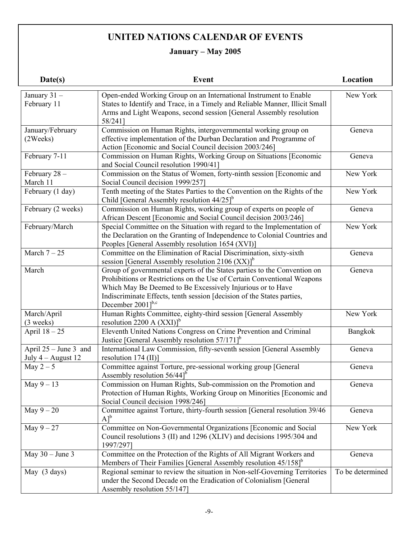# **UNITED NATIONS CALENDAR OF EVENTS**

# **January – May 2005**

| Date(s)                                       | <b>Event</b>                                                                                                                                                                                                                                                                                                                  | Location         |
|-----------------------------------------------|-------------------------------------------------------------------------------------------------------------------------------------------------------------------------------------------------------------------------------------------------------------------------------------------------------------------------------|------------------|
| January 31-<br>February 11                    | Open-ended Working Group on an International Instrument to Enable<br>States to Identify and Trace, in a Timely and Reliable Manner, Illicit Small<br>Arms and Light Weapons, second session [General Assembly resolution<br>58/241]                                                                                           | New York         |
| January/February<br>$(2 \nW eeks)$            | Commission on Human Rights, intergovernmental working group on<br>effective implementation of the Durban Declaration and Programme of<br>Action [Economic and Social Council decision 2003/246]                                                                                                                               | Geneva           |
| February 7-11                                 | Commission on Human Rights, Working Group on Situations [Economic<br>and Social Council resolution 1990/41]                                                                                                                                                                                                                   | Geneva           |
| February 28 -<br>March 11                     | Commission on the Status of Women, forty-ninth session [Economic and<br>Social Council decision 1999/257]                                                                                                                                                                                                                     | New York         |
| February (1 day)                              | Tenth meeting of the States Parties to the Convention on the Rights of the<br>Child [General Assembly resolution $44/25$ ] <sup>b</sup>                                                                                                                                                                                       | New York         |
| February (2 weeks)                            | Commission on Human Rights, working group of experts on people of<br>African Descent [Economic and Social Council decision 2003/246]                                                                                                                                                                                          | Geneva           |
| February/March                                | Special Committee on the Situation with regard to the Implementation of<br>the Declaration on the Granting of Independence to Colonial Countries and<br>Peoples [General Assembly resolution 1654 (XVI)]                                                                                                                      | New York         |
| March $7-25$                                  | Committee on the Elimination of Racial Discrimination, sixty-sixth<br>session [General Assembly resolution 2106 $(XX)$ ] <sup>b</sup>                                                                                                                                                                                         | Geneva           |
| March                                         | Group of governmental experts of the States parties to the Convention on<br>Prohibitions or Restrictions on the Use of Certain Conventional Weapons<br>Which May Be Deemed to Be Excessively Injurious or to Have<br>Indiscriminate Effects, tenth session [decision of the States parties,<br>December $2001$ <sup>b,c</sup> | Geneva           |
| March/April<br>$(3$ weeks)                    | Human Rights Committee, eighty-third session [General Assembly<br>resolution 2200 A $(XXI)^b$                                                                                                                                                                                                                                 | New York         |
| April $18 - 25$                               | Eleventh United Nations Congress on Crime Prevention and Criminal<br>Justice [General Assembly resolution $57/171$ ] <sup>b</sup>                                                                                                                                                                                             | Bangkok          |
| April $25 - June 3$ and<br>July 4 - August 12 | International Law Commission, fifty-seventh session [General Assembly<br>resolution $174 \text{ (II)}$                                                                                                                                                                                                                        | Geneva           |
| May $2-5$                                     | Committee against Torture, pre-sessional working group [General<br>Assembly resolution $56/44$ <sup>b</sup>                                                                                                                                                                                                                   | Geneva           |
| May $9-13$                                    | Commission on Human Rights, Sub-commission on the Promotion and<br>Protection of Human Rights, Working Group on Minorities [Economic and<br>Social Council decision 1998/246]                                                                                                                                                 | Geneva           |
| May $9-20$                                    | Committee against Torture, thirty-fourth session [General resolution 39/46<br>$A$ ] <sup>b</sup>                                                                                                                                                                                                                              | Geneva           |
| May $9-27$                                    | Committee on Non-Governmental Organizations [Economic and Social<br>Council resolutions 3 (II) and 1296 (XLIV) and decisions 1995/304 and<br>1997/297]                                                                                                                                                                        | New York         |
| May $30 -$ June 3                             | Committee on the Protection of the Rights of All Migrant Workers and<br>Members of Their Families [General Assembly resolution 45/158] <sup>b</sup>                                                                                                                                                                           | Geneva           |
| May (3 days)                                  | Regional seminar to review the situation in Non-self-Governing Territories<br>under the Second Decade on the Eradication of Colonialism [General<br>Assembly resolution 55/147]                                                                                                                                               | To be determined |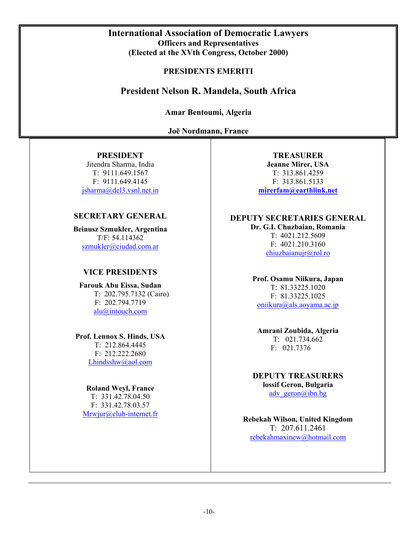# **International Association of Democratic Lawyers Officers and Representatives (Elected at the XVth Congress, October 2000)**

# **PRESIDENTS EMERITI**

# **President Nelson R. Mandela, South Africa**

**Amar Bentoumi, Algeria** 

**Joē Nordmann, France**

# **PRESIDENT**

Jitendra Sharma, India T: 9111.649.1567 F: 9111.649.4145 jsharma@del3.vsnl.net.in

# **SECRETARY GENERAL**

**Beinusz Szmukler, Argentina** T/F: 54.114362 szmukler@ciudad.com.ar

# **VICE PRESIDENTS**

**Farouk Abu Eissa, Sudan**  T: 202.795.7132 (Cairo) F: 202.794.7719 alu@intouch.com

**Prof. Lennox S. Hinds, USA**  T: 212.864.4445 F: 212.222.2680 Lhindsshw@aol.com

## **Roland Weyl, France**

T: 331.42.78.04.50 F: 331.42.78.03.57 Mrwjur@club-internet.fr

**TREASURER Jeanne Mirer, USA**  T: 313.861.4259 F: 313.861.5133 **mirerfam@earthlink.net**

# **DEPUTY SECRETARIES GENERAL**

**Dr. G.I. Chuzbaian, Romania** T: 4021.212.5609 F: 4021.210.3160 chiuzbaianujr@rol.ro

## **Prof. Osamu Niikura, Japan**

T: 81.33225.1020 F: 81.33225.1025 oniikura@als.aoyama.ac.jp

# **Amrani Zoubida, Algeria**  T: 021.734.662 F: 021.7376

**DEPUTY TREASURERS lossif Geron, Bulgaria** adv\_geron@ibn.bg

**Rebekah Wilson, United Kingdom**  T: 207.611.2461 rebekahmaxinew@hotmail.com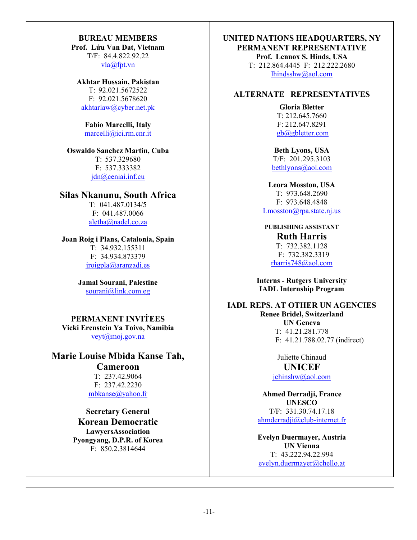# **BUREAU MEMBERS**

**Prof. Lứu Van Dat, Vietnam**  T/F: 84.4.822.92.22 vla@fpt.vn

#### **Akhtar Hussain, Pakistan**

T: 92.021.5672522 F: 92.021.5678620 akhtarlaw@cyber.net.pk

#### **Fabio Marcelli, Italy**  marcelli@ici.rm.cnr.it

# **Oswaldo Sanchez Martin, Cuba**

T: 537.329680 F: 537.333382 jdn@ceniai.inf.cu

# **Silas Nkanunu, South Africa**

T: 041.487.0134/5 F: 041.487.0066 aletha@nadel.co.za

# **Joan Roig i Plans, Catalonia, Spain**

T: 34.932.155311 F: 34.934.873379 jroigpla@aranzadi.es

## **Jamal Sourani, Palestine**  sourani@link.com.eg

# **PERMANENT INVIT́EES Vicki Erenstein Ya Toivo, Namibia**  veyt@moj.gov.na

# **Marie Louise Mbida Kanse Tah,**

**Cameroon**  T: 237.42.9064 F: 237.42.2230 mbkanse@yahoo.fr

**Secretary General Korean Democratic LawyersAssociation Pyongyang, D.P.R. of Korea** F: 850.2.3814644

# **UNITED NATIONS HEADQUARTERS, NY PERMANENT REPRESENTATIVE Prof. Lennox S. Hinds, USA**

T: 212.864.4445 F: 212.222.2680 lhindsshw@aol.com

# **ALTERNATE REPRESENTATIVES**

**Gloria Bletter**  T: 212.645.7660 F: 212.647.8291 gb@gbletter.com

**Beth Lyons, USA**  T/F: 201.295.3103 bethlyons@aol.com

## **Leora Mosston, USA**  T: 973.648.2690 F: 973.648.4848  $L$ mosston $@$ rpa.state.nj.us

**PUBLISHING ASSISTANT Ruth Harris**  T: 732.382.1128 F: 732.382.3319 rharris748@aol.com

**Interns - Rutgers University IADL Internship Program**

# **IADL REPS. AT OTHER UN AGENCIES Renee Bridel, Switzerland UN Geneva**  T: 41.21.281.778 F: 41.21.788.02.77 (indirect)

Juliette Chinaud **UNICEF**  jchinshw@aol.com

**Ahmed Derradji, France UNESCO** T/F: 331.30.74.17.18 ahmderradji@club-internet.fr

**Evelyn Duermayer, Austria UN Vienna** T: 43.222.94.22.994 evelyn.duermayer@chello.at